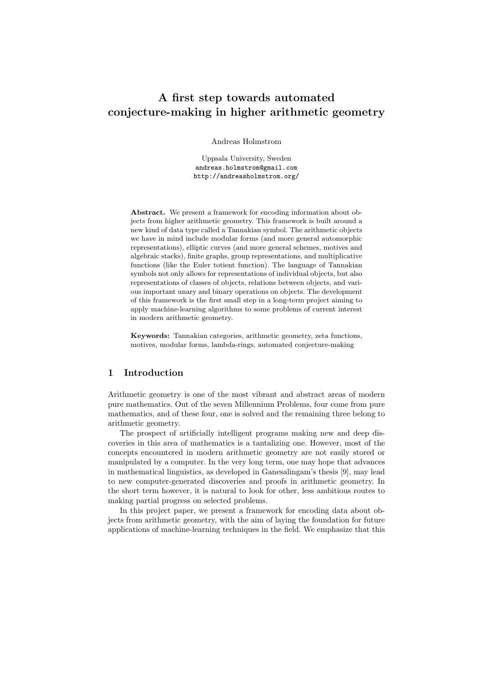# A first step towards automated conjecture-making in higher arithmetic geometry

Andreas Holmstrom

Uppsala University, Sweden andreas.holmstrom@gmail.com http://andreasholmstrom.org/

Abstract. We present a framework for encoding information about objects from higher arithmetic geometry. This framework is built around a new kind of data type called a Tannakian symbol. The arithmetic objects we have in mind include modular forms (and more general automorphic representations), elliptic curves (and more general schemes, motives and algebraic stacks), finite graphs, group representations, and multiplicative functions (like the Euler totient function). The language of Tannakian symbols not only allows for representations of individual objects, but also representations of classes of objects, relations between objects, and various important unary and binary operations on objects. The development of this framework is the first small step in a long-term project aiming to apply machine-learning algorithms to some problems of current interest in modern arithmetic geometry.

Keywords: Tannakian categories, arithmetic geometry, zeta functions, motives, modular forms, lambda-rings, automated conjecture-making

# 1 Introduction

Arithmetic geometry is one of the most vibrant and abstract areas of modern pure mathematics. Out of the seven Millennium Problems, four come from pure mathematics, and of these four, one is solved and the remaining three belong to arithmetic geometry.

The prospect of artificially intelligent programs making new and deep discoveries in this area of mathematics is a tantalizing one. However, most of the concepts encountered in modern arithmetic geometry are not easily stored or manipulated by a computer. In the very long term, one may hope that advances in mathematical linguistics, as developed in Ganesalingam's thesis [9], may lead to new computer-generated discoveries and proofs in arithmetic geometry. In the short term however, it is natural to look for other, less ambitious routes to making partial progress on selected problems.

In this project paper, we present a framework for encoding data about objects from arithmetic geometry, with the aim of laying the foundation for future applications of machine-learning techniques in the field. We emphasize that this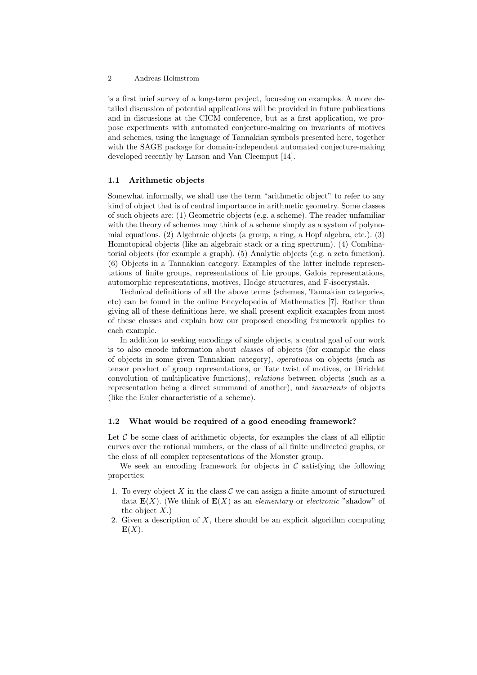is a first brief survey of a long-term project, focussing on examples. A more detailed discussion of potential applications will be provided in future publications and in discussions at the CICM conference, but as a first application, we propose experiments with automated conjecture-making on invariants of motives and schemes, using the language of Tannakian symbols presented here, together with the SAGE package for domain-independent automated conjecture-making developed recently by Larson and Van Cleemput [14].

#### 1.1 Arithmetic objects

Somewhat informally, we shall use the term "arithmetic object" to refer to any kind of object that is of central importance in arithmetic geometry. Some classes of such objects are: (1) Geometric objects (e.g. a scheme). The reader unfamiliar with the theory of schemes may think of a scheme simply as a system of polynomial equations. (2) Algebraic objects (a group, a ring, a Hopf algebra, etc.). (3) Homotopical objects (like an algebraic stack or a ring spectrum). (4) Combinatorial objects (for example a graph). (5) Analytic objects (e.g. a zeta function). (6) Objects in a Tannakian category. Examples of the latter include representations of finite groups, representations of Lie groups, Galois representations, automorphic representations, motives, Hodge structures, and F-isocrystals.

Technical definitions of all the above terms (schemes, Tannakian categories, etc) can be found in the online Encyclopedia of Mathematics [7]. Rather than giving all of these definitions here, we shall present explicit examples from most of these classes and explain how our proposed encoding framework applies to each example.

In addition to seeking encodings of single objects, a central goal of our work is to also encode information about classes of objects (for example the class of objects in some given Tannakian category), operations on objects (such as tensor product of group representations, or Tate twist of motives, or Dirichlet convolution of multiplicative functions), relations between objects (such as a representation being a direct summand of another), and invariants of objects (like the Euler characteristic of a scheme).

### 1.2 What would be required of a good encoding framework?

Let  $C$  be some class of arithmetic objects, for examples the class of all elliptic curves over the rational numbers, or the class of all finite undirected graphs, or the class of all complex representations of the Monster group.

We seek an encoding framework for objects in  $\mathcal C$  satisfying the following properties:

- 1. To every object X in the class  $\mathcal C$  we can assign a finite amount of structured data  $\mathbf{E}(X)$ . (We think of  $\mathbf{E}(X)$  as an *elementary* or *electronic* "shadow" of the object  $X$ .)
- 2. Given a description of  $X$ , there should be an explicit algorithm computing  $E(X)$ .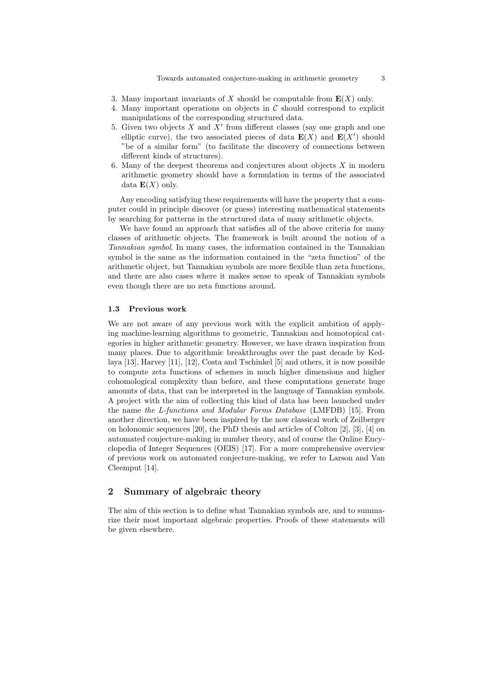- 3. Many important invariants of X should be computable from  $E(X)$  only.
- 4. Many important operations on objects in  $\mathcal C$  should correspond to explicit manipulations of the corresponding structured data.
- 5. Given two objects  $X$  and  $X'$  from different classes (say one graph and one elliptic curve), the two associated pieces of data  $\mathbf{E}(X)$  and  $\mathbf{E}(X')$  should "be of a similar form" (to facilitate the discovery of connections between different kinds of structures).
- 6. Many of the deepest theorems and conjectures about objects X in modern arithmetic geometry should have a formulation in terms of the associated data  $\mathbf{E}(X)$  only.

Any encoding satisfying these requirements will have the property that a computer could in principle discover (or guess) interesting mathematical statements by searching for patterns in the structured data of many arithmetic objects.

We have found an approach that satisfies all of the above criteria for many classes of arithmetic objects. The framework is built around the notion of a Tannakian symbol. In many cases, the information contained in the Tannakian symbol is the same as the information contained in the "zeta function" of the arithmetic object, but Tannakian symbols are more flexible than zeta functions, and there are also cases where it makes sense to speak of Tannakian symbols even though there are no zeta functions around.

#### 1.3 Previous work

We are not aware of any previous work with the explicit ambition of applying machine-learning algorithms to geometric, Tannakian and homotopical categories in higher arithmetic geometry. However, we have drawn inspiration from many places. Due to algorithmic breakthroughs over the past decade by Kedlaya [13], Harvey [11], [12], Costa and Tschinkel [5] and others, it is now possible to compute zeta functions of schemes in much higher dimensions and higher cohomological complexity than before, and these computations generate huge amounts of data, that can be interpreted in the language of Tannakian symbols. A project with the aim of collecting this kind of data has been launched under the name the L-functions and Modular Forms Database (LMFDB) [15]. From another direction, we have been inspired by the now classical work of Zeilberger on holonomic sequences [20], the PhD thesis and articles of Colton [2], [3], [4] on automated conjecture-making in number theory, and of course the Online Encyclopedia of Integer Sequences (OEIS) [17]. For a more comprehensive overview of previous work on automated conjecture-making, we refer to Larson and Van Cleemput [14].

# 2 Summary of algebraic theory

The aim of this section is to define what Tannakian symbols are, and to summarize their most important algebraic properties. Proofs of these statements will be given elsewhere.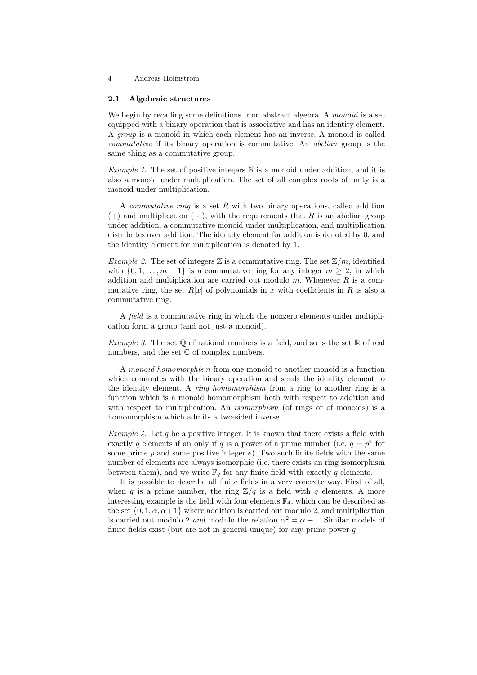#### 2.1 Algebraic structures

We begin by recalling some definitions from abstract algebra. A monoid is a set equipped with a binary operation that is associative and has an identity element. A group is a monoid in which each element has an inverse. A monoid is called commutative if its binary operation is commutative. An abelian group is the same thing as a commutative group.

*Example 1.* The set of positive integers  $\mathbb N$  is a monoid under addition, and it is also a monoid under multiplication. The set of all complex roots of unity is a monoid under multiplication.

A *commutative ring* is a set  $R$  with two binary operations, called addition  $(+)$  and multiplication  $(+)$ , with the requirements that R is an abelian group under addition, a commutative monoid under multiplication, and multiplication distributes over addition. The identity element for addition is denoted by 0, and the identity element for multiplication is denoted by 1.

Example 2. The set of integers  $\mathbb Z$  is a commutative ring. The set  $\mathbb Z/m$ , identified with  $\{0, 1, \ldots, m-1\}$  is a commutative ring for any integer  $m \geq 2$ , in which addition and multiplication are carried out modulo  $m$ . Whenever  $R$  is a commutative ring, the set  $R[x]$  of polynomials in x with coefficients in R is also a commutative ring.

A field is a commutative ring in which the nonzero elements under multiplication form a group (and not just a monoid).

Example 3. The set  $\mathbb Q$  of rational numbers is a field, and so is the set  $\mathbb R$  of real numbers, and the set  $\mathbb C$  of complex numbers.

A monoid homomorphism from one monoid to another monoid is a function which commutes with the binary operation and sends the identity element to the identity element. A ring homomorphism from a ring to another ring is a function which is a monoid homomorphism both with respect to addition and with respect to multiplication. An *isomorphism* (of rings or of monoids) is a homomorphism which admits a two-sided inverse.

Example 4. Let q be a positive integer. It is known that there exists a field with exactly q elements if an only if q is a power of a prime number (i.e.  $q = p^e$  for some prime  $p$  and some positive integer  $e$ ). Two such finite fields with the same number of elements are always isomorphic (i.e. there exists an ring isomorphism between them), and we write  $\mathbb{F}_q$  for any finite field with exactly q elements.

It is possible to describe all finite fields in a very concrete way. First of all, when q is a prime number, the ring  $\mathbb{Z}/q$  is a field with q elements. A more interesting example is the field with four elements  $\mathbb{F}_4$ , which can be described as the set  $\{0, 1, \alpha, \alpha + 1\}$  where addition is carried out modulo 2, and multiplication is carried out modulo 2 and modulo the relation  $\alpha^2 = \alpha + 1$ . Similar models of finite fields exist (but are not in general unique) for any prime power  $q$ .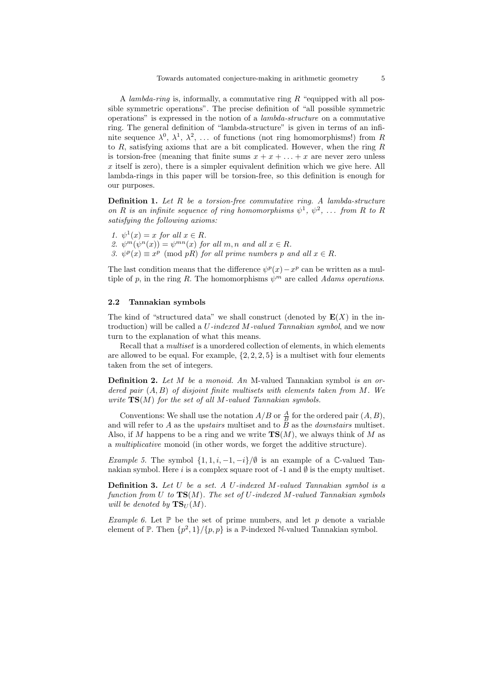A lambda-ring is, informally, a commutative ring  $R$  "equipped with all possible symmetric operations". The precise definition of "all possible symmetric operations" is expressed in the notion of a lambda-structure on a commutative ring. The general definition of "lambda-structure" is given in terms of an infinite sequence  $\lambda^0$ ,  $\lambda^1$ ,  $\lambda^2$ , ... of functions (not ring homomorphisms!) from R to  $R$ , satisfying axioms that are a bit complicated. However, when the ring  $R$ is torsion-free (meaning that finite sums  $x + x + \ldots + x$  are never zero unless x itself is zero), there is a simpler equivalent definition which we give here. All lambda-rings in this paper will be torsion-free, so this definition is enough for our purposes.

**Definition 1.** Let  $R$  be a torsion-free commutative ring. A lambda-structure on R is an infinite sequence of ring homomorphisms  $\psi^1$ ,  $\psi^2$ , ... from R to R satisfying the following axioms:

1.  $\psi^1(x) = x$  for all  $x \in R$ . 2.  $\psi^m(\psi^n(x)) = \psi^{mn}(x)$  for all  $m, n$  and all  $x \in R$ . 3.  $\psi^p(x) \equiv x^p \pmod{pR}$  for all prime numbers p and all  $x \in R$ .

The last condition means that the difference  $\psi^p(x) - x^p$  can be written as a multiple of p, in the ring R. The homomorphisms  $\psi^m$  are called Adams operations.

#### 2.2 Tannakian symbols

The kind of "structured data" we shall construct (denoted by  $E(X)$  in the introduction) will be called a U-indexed M-valued Tannakian symbol, and we now turn to the explanation of what this means.

Recall that a multiset is a unordered collection of elements, in which elements are allowed to be equal. For example,  $\{2, 2, 2, 5\}$  is a multiset with four elements taken from the set of integers.

Definition 2. Let M be a monoid. An M-valued Tannakian symbol is an ordered pair  $(A, B)$  of disjoint finite multisets with elements taken from M. We write  $TS(M)$  for the set of all M-valued Tannakian symbols.

Conventions: We shall use the notation  $A/B$  or  $\frac{A}{B}$  for the ordered pair  $(A, B)$ , and will refer to A as the upstairs multiset and to  $\tilde{B}$  as the *downstairs* multiset. Also, if M happens to be a ring and we write  $\mathbf{TS}(M)$ , we always think of M as a multiplicative monoid (in other words, we forget the additive structure).

Example 5. The symbol  $\{1, 1, i, -1, -i\}/\emptyset$  is an example of a C-valued Tannakian symbol. Here i is a complex square root of  $-1$  and  $\emptyset$  is the empty multiset.

**Definition 3.** Let  $U$  be a set. A U-indexed M-valued Tannakian symbol is a function from U to  $TS(M)$ . The set of U-indexed M-valued Tannakian symbols will be denoted by  $\mathbf{TS}_U(M)$ .

Example 6. Let  $\mathbb P$  be the set of prime numbers, and let p denote a variable element of  $\mathbb{P}$ . Then  $\{p^2, 1\}/\{p, p\}$  is a  $\mathbb{P}$ -indexed N-valued Tannakian symbol.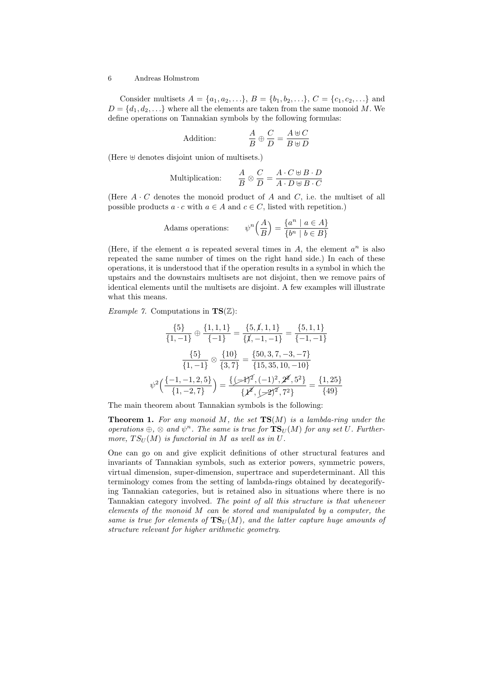Consider multisets  $A = \{a_1, a_2, ...\}$ ,  $B = \{b_1, b_2, ...\}$ ,  $C = \{c_1, c_2, ...\}$  and  $D = \{d_1, d_2, \ldots\}$  where all the elements are taken from the same monoid M. We define operations on Tannakian symbols by the following formulas:

Addition: 
$$
\frac{A}{B} \oplus \frac{C}{D} = \frac{A \oplus C}{B \oplus D}
$$

(Here  $\uplus$  denotes disjoint union of multisets.)

Multiplication: 
$$
\frac{A}{B} \otimes \frac{C}{D} = \frac{A \cdot C \oplus B \cdot D}{A \cdot D \oplus B \cdot C}
$$

(Here  $A \cdot C$  denotes the monoid product of A and C, i.e. the multiset of all possible products  $a \cdot c$  with  $a \in A$  and  $c \in C$ , listed with repetition.)

Adams operations: 
$$
\psi^n\left(\frac{A}{B}\right) = \frac{\{a^n \mid a \in A\}}{\{b^n \mid b \in B\}}
$$

(Here, if the element  $a$  is repeated several times in  $A$ , the element  $a^n$  is also repeated the same number of times on the right hand side.) In each of these operations, it is understood that if the operation results in a symbol in which the upstairs and the downstairs multisets are not disjoint, then we remove pairs of identical elements until the multisets are disjoint. A few examples will illustrate what this means.

*Example 7.* Computations in  $TS(\mathbb{Z})$ :

$$
\frac{\{5\}}{\{1,-1\}} \oplus \frac{\{1,1,1\}}{\{-1\}} = \frac{\{5,\cancel{1},1,1\}}{\{\cancel{1},-1,-1\}} = \frac{\{5,1,1\}}{\{-1,-1\}}
$$
\n
$$
\frac{\{5\}}{\{1,-1\}} \otimes \frac{\{10\}}{\{3,7\}} = \frac{\{50,3,7,-3,-7\}}{\{15,35,10,-10\}}
$$
\n
$$
\psi^2 \Big( \frac{\{-1,-1,2,5\}}{\{1,-2,7\}} \Big) = \frac{\{\cancel{\mathcal{F}}^2,\ (-1)^2,\cancel{2}^2,\cancel{5}^2\}}{\{\cancel{\mathcal{F}}^2,\cancel{5}^2\}} = \frac{\{1,25\}}{\{49\}}
$$

The main theorem about Tannakian symbols is the following:

**Theorem 1.** For any monoid M, the set  $TS(M)$  is a lambda-ring under the operations  $\oplus$ ,  $\otimes$  and  $\psi^n$ . The same is true for  $\mathbf{TS}_U(M)$  for any set U. Furthermore,  $TS_U(M)$  is functorial in M as well as in U.

One can go on and give explicit definitions of other structural features and invariants of Tannakian symbols, such as exterior powers, symmetric powers, virtual dimension, super-dimension, supertrace and superdeterminant. All this terminology comes from the setting of lambda-rings obtained by decategorifying Tannakian categories, but is retained also in situations where there is no Tannakian category involved. The point of all this structure is that whenever elements of the monoid  $M$  can be stored and manipulated by a computer, the same is true for elements of  $TS_U(M)$ , and the latter capture huge amounts of structure relevant for higher arithmetic geometry.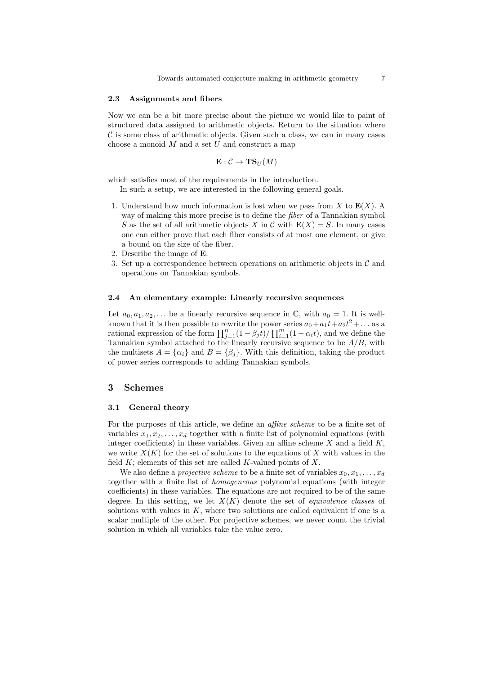#### 2.3 Assignments and fibers

Now we can be a bit more precise about the picture we would like to paint of structured data assigned to arithmetic objects. Return to the situation where  $\mathcal C$  is some class of arithmetic objects. Given such a class, we can in many cases choose a monoid  $M$  and a set  $U$  and construct a map

$$
\mathbf{E}: \mathcal{C} \to \mathbf{TS}_U(M)
$$

which satisfies most of the requirements in the introduction.

In such a setup, we are interested in the following general goals.

- 1. Understand how much information is lost when we pass from X to  $\mathbf{E}(X)$ . A way of making this more precise is to define the fiber of a Tannakian symbol S as the set of all arithmetic objects X in C with  $E(X) = S$ . In many cases one can either prove that each fiber consists of at most one element, or give a bound on the size of the fiber.
- 2. Describe the image of E.
- 3. Set up a correspondence between operations on arithmetic objects in  $\mathcal C$  and operations on Tannakian symbols.

#### 2.4 An elementary example: Linearly recursive sequences

Let  $a_0, a_1, a_2, \ldots$  be a linearly recursive sequence in  $\mathbb{C}$ , with  $a_0 = 1$ . It is wellknown that it is then possible to rewrite the power series  $a_0 + a_1t + a_2t^2 + ...$  as a rational expression of the form  $\prod_{j=1}^{n} (1 - \beta_j t) / \prod_{i=1}^{m} (1 - \alpha_i t)$ , and we define the Tannakian symbol attached to the linearly recursive sequence to be  $A/B$ , with the multisets  $A = {\alpha_i}$  and  $B = {\beta_i}$ . With this definition, taking the product of power series corresponds to adding Tannakian symbols.

# 3 Schemes

#### 3.1 General theory

For the purposes of this article, we define an affine scheme to be a finite set of variables  $x_1, x_2, \ldots, x_d$  together with a finite list of polynomial equations (with integer coefficients) in these variables. Given an affine scheme  $X$  and a field  $K$ , we write  $X(K)$  for the set of solutions to the equations of X with values in the field  $K$ ; elements of this set are called  $K$ -valued points of  $X$ .

We also define a *projective scheme* to be a finite set of variables  $x_0, x_1, \ldots, x_d$ together with a finite list of homogeneous polynomial equations (with integer coefficients) in these variables. The equations are not required to be of the same degree. In this setting, we let  $X(K)$  denote the set of *equivalence classes* of solutions with values in  $K$ , where two solutions are called equivalent if one is a scalar multiple of the other. For projective schemes, we never count the trivial solution in which all variables take the value zero.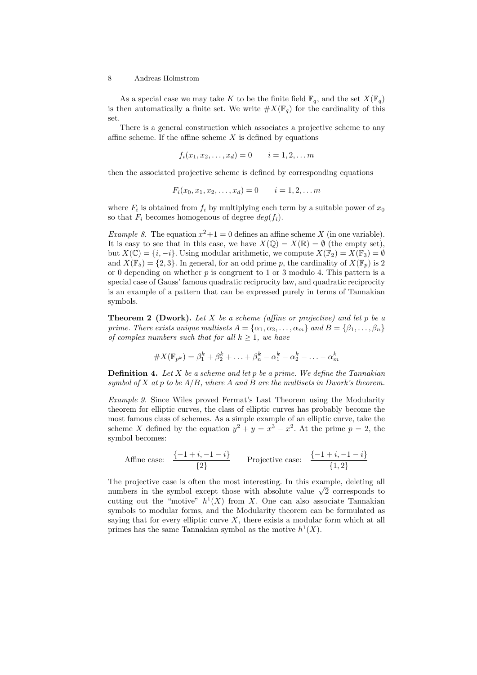As a special case we may take K to be the finite field  $\mathbb{F}_q$ , and the set  $X(\mathbb{F}_q)$ is then automatically a finite set. We write  $\#X(\mathbb{F}_q)$  for the cardinality of this set.

There is a general construction which associates a projective scheme to any affine scheme. If the affine scheme  $X$  is defined by equations

$$
f_i(x_1, x_2, \dots, x_d) = 0 \qquad i = 1, 2, \dots m
$$

then the associated projective scheme is defined by corresponding equations

$$
F_i(x_0, x_1, x_2, \dots, x_d) = 0 \qquad i = 1, 2, \dots m
$$

where  $F_i$  is obtained from  $f_i$  by multiplying each term by a suitable power of  $x_0$ so that  $F_i$  becomes homogenous of degree  $deg(f_i)$ .

*Example 8*. The equation  $x^2 + 1 = 0$  defines an affine scheme X (in one variable). It is easy to see that in this case, we have  $X(\mathbb{Q}) = X(\mathbb{R}) = \emptyset$  (the empty set), but  $X(\mathbb{C}) = \{i, -i\}$ . Using modular arithmetic, we compute  $X(\mathbb{F}_2) = X(\mathbb{F}_3) = \emptyset$ and  $X(\mathbb{F}_5) = \{2, 3\}$ . In general, for an odd prime p, the cardinality of  $X(\mathbb{F}_p)$  is 2 or 0 depending on whether  $p$  is congruent to 1 or 3 modulo 4. This pattern is a special case of Gauss' famous quadratic reciprocity law, and quadratic reciprocity is an example of a pattern that can be expressed purely in terms of Tannakian symbols.

**Theorem 2 (Dwork).** Let X be a scheme (affine or projective) and let p be a prime. There exists unique multisets  $A = {\alpha_1, \alpha_2, ..., \alpha_m}$  and  $B = {\beta_1, ..., \beta_n}$ of complex numbers such that for all  $k \geq 1$ , we have

#X(Fp<sup>k</sup> ) = β k <sup>1</sup> + β k <sup>2</sup> + . . . + β k <sup>n</sup> − α k <sup>1</sup> − α k <sup>2</sup> − . . . − α k m

**Definition 4.** Let  $X$  be a scheme and let  $p$  be a prime. We define the Tannakian symbol of  $X$  at  $p$  to be  $A/B$ , where  $A$  and  $B$  are the multisets in Dwork's theorem.

Example 9. Since Wiles proved Fermat's Last Theorem using the Modularity theorem for elliptic curves, the class of elliptic curves has probably become the most famous class of schemes. As a simple example of an elliptic curve, take the scheme X defined by the equation  $y^2 + y = x^3 - x^2$ . At the prime  $p = 2$ , the symbol becomes:

Affine case: 
$$
\frac{\{-1+i, -1-i\}}{\{2\}}
$$
 Projective case: 
$$
\frac{\{-1+i, -1-i\}}{\{1,2\}}
$$

The projective case is often the most interesting. In this example, deleting all The projective case is often the most interesting. In this example, deleting all numbers in the symbol except those with absolute value  $\sqrt{2}$  corresponds to cutting out the "motive"  $h^1(X)$  from X. One can also associate Tannakian symbols to modular forms, and the Modularity theorem can be formulated as saying that for every elliptic curve  $X$ , there exists a modular form which at all primes has the same Tannakian symbol as the motive  $h^1(X)$ .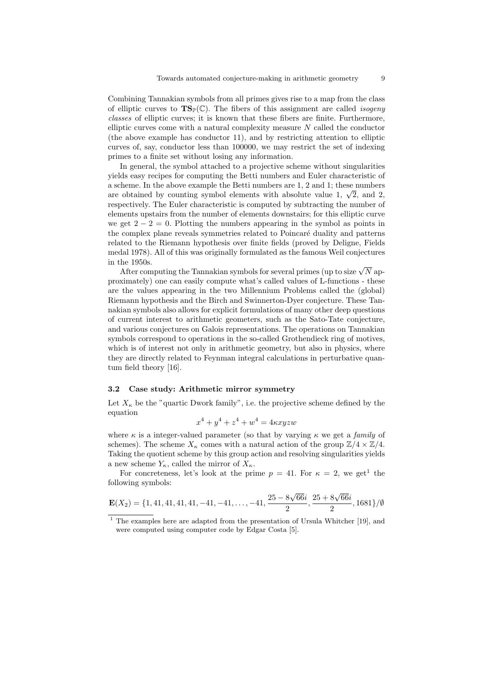Combining Tannakian symbols from all primes gives rise to a map from the class of elliptic curves to  $\mathbf{TS}_{\mathbb{P}}(\mathbb{C})$ . The fibers of this assignment are called *isogeny* classes of elliptic curves; it is known that these fibers are finite. Furthermore, elliptic curves come with a natural complexity measure  $N$  called the conductor (the above example has conductor 11), and by restricting attention to elliptic curves of, say, conductor less than 100000, we may restrict the set of indexing primes to a finite set without losing any information.

In general, the symbol attached to a projective scheme without singularities yields easy recipes for computing the Betti numbers and Euler characteristic of a scheme. In the above example the Betti numbers are 1, 2 and 1; these numbers a scheme. In the above example the Betti numbers are 1, 2 and 1; these numbers are obtained by counting symbol elements with absolute value 1,  $\sqrt{2}$ , and 2, respectively. The Euler characteristic is computed by subtracting the number of elements upstairs from the number of elements downstairs; for this elliptic curve we get  $2 - 2 = 0$ . Plotting the numbers appearing in the symbol as points in the complex plane reveals symmetries related to Poincaré duality and patterns related to the Riemann hypothesis over finite fields (proved by Deligne, Fields medal 1978). All of this was originally formulated as the famous Weil conjectures in the 1950s.

ne 1950s.<br>After computing the Tannakian symbols for several primes (up to size  $\sqrt{N}$  approximately) one can easily compute what's called values of L-functions - these are the values appearing in the two Millennium Problems called the (global) Riemann hypothesis and the Birch and Swinnerton-Dyer conjecture. These Tannakian symbols also allows for explicit formulations of many other deep questions of current interest to arithmetic geometers, such as the Sato-Tate conjecture, and various conjectures on Galois representations. The operations on Tannakian symbols correspond to operations in the so-called Grothendieck ring of motives, which is of interest not only in arithmetic geometry, but also in physics, where they are directly related to Feynman integral calculations in perturbative quantum field theory [16].

# 3.2 Case study: Arithmetic mirror symmetry

Let  $X_{\kappa}$  be the "quartic Dwork family", i.e. the projective scheme defined by the equation

$$
x^4 + y^4 + z^4 + w^4 = 4\kappa xyzw
$$

where  $\kappa$  is a integer-valued parameter (so that by varying  $\kappa$  we get a *family* of schemes). The scheme  $X_{\kappa}$  comes with a natural action of the group  $\mathbb{Z}/4 \times \mathbb{Z}/4$ . Taking the quotient scheme by this group action and resolving singularities yields a new scheme  $Y_{\kappa}$ , called the mirror of  $X_{\kappa}$ .

For concreteness, let's look at the prime  $p = 41$ . For  $\kappa = 2$ , we get<sup>1</sup> the following symbols:

$$
\mathbf{E}(X_2) = \{1, 41, 41, 41, 41, -41, -41, \dots, -41, \frac{25 - 8\sqrt{66}i}{2}, \frac{25 + 8\sqrt{66}i}{2}, 1681\}/\emptyset
$$

 $1$  The examples here are adapted from the presentation of Ursula Whitcher [19], and were computed using computer code by Edgar Costa [5].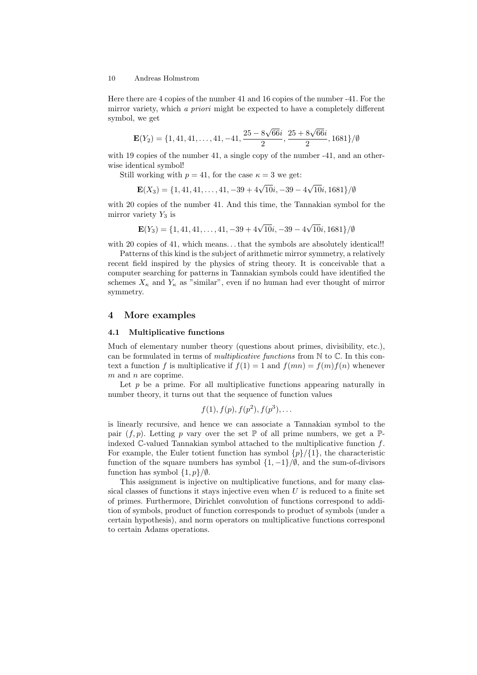Here there are 4 copies of the number 41 and 16 copies of the number -41. For the mirror variety, which a priori might be expected to have a completely different symbol, we get

$$
\mathbf{E}(Y_2) = \{1, 41, 41, \dots, 41, -41, \frac{25 - 8\sqrt{66}i}{2}, \frac{25 + 8\sqrt{66}i}{2}, 1681\}/\emptyset
$$

with 19 copies of the number 41, a single copy of the number -41, and an otherwise identical symbol!

Still working with  $p = 41$ , for the case  $\kappa = 3$  we get:

$$
\mathbf{E}(X_3) = \{1, 41, 41, \dots, 41, -39 + 4\sqrt{10}i, -39 - 4\sqrt{10}i, 1681\}/\emptyset
$$

with 20 copies of the number 41. And this time, the Tannakian symbol for the mirror variety  $Y_3$  is

$$
\mathbf{E}(Y_3) = \{1, 41, 41, \dots, 41, -39 + 4\sqrt{10}i, -39 - 4\sqrt{10}i, 1681\}/\emptyset
$$

with 20 copies of 41, which means... that the symbols are absolutely identical!!

Patterns of this kind is the subject of arithmetic mirror symmetry, a relatively recent field inspired by the physics of string theory. It is conceivable that a computer searching for patterns in Tannakian symbols could have identified the schemes  $X_{\kappa}$  and  $Y_{\kappa}$  as "similar", even if no human had ever thought of mirror symmetry.

# 4 More examples

#### 4.1 Multiplicative functions

Much of elementary number theory (questions about primes, divisibility, etc.), can be formulated in terms of *multiplicative functions* from  $\mathbb N$  to  $\mathbb C$ . In this context a function f is multiplicative if  $f(1) = 1$  and  $f(mn) = f(m)f(n)$  whenever m and n are coprime.

Let  $p$  be a prime. For all multiplicative functions appearing naturally in number theory, it turns out that the sequence of function values

$$
f(1), f(p), f(p^2), f(p^3), \ldots
$$

is linearly recursive, and hence we can associate a Tannakian symbol to the pair  $(f, p)$ . Letting p vary over the set  $\mathbb P$  of all prime numbers, we get a  $\mathbb P$ indexed  $\mathbb{C}\text{-valued Tannakian symbol attached to the multiplicative function } f$ . For example, the Euler totient function has symbol  $\{p\}/\{1\}$ , the characteristic function of the square numbers has symbol  $\{1, -1\}/\emptyset$ , and the sum-of-divisors function has symbol  $\{1, p\}/\emptyset$ .

This assignment is injective on multiplicative functions, and for many classical classes of functions it stays injective even when  $U$  is reduced to a finite set of primes. Furthermore, Dirichlet convolution of functions correspond to addition of symbols, product of function corresponds to product of symbols (under a certain hypothesis), and norm operators on multiplicative functions correspond to certain Adams operations.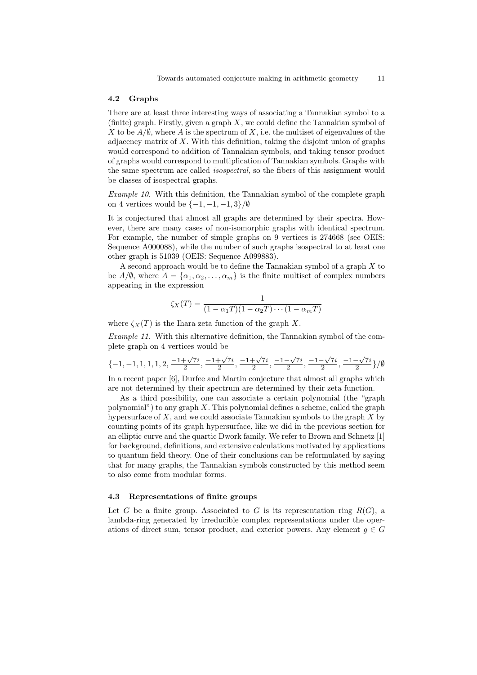### 4.2 Graphs

There are at least three interesting ways of associating a Tannakian symbol to a (finite) graph. Firstly, given a graph  $X$ , we could define the Tannakian symbol of X to be  $A/\emptyset$ , where A is the spectrum of X, i.e. the multiset of eigenvalues of the adjacency matrix of  $X$ . With this definition, taking the disjoint union of graphs would correspond to addition of Tannakian symbols, and taking tensor product of graphs would correspond to multiplication of Tannakian symbols. Graphs with the same spectrum are called *isospectral*, so the fibers of this assignment would be classes of isospectral graphs.

Example 10. With this definition, the Tannakian symbol of the complete graph on 4 vertices would be  $\{-1, -1, -1, 3\}/\emptyset$ 

It is conjectured that almost all graphs are determined by their spectra. However, there are many cases of non-isomorphic graphs with identical spectrum. For example, the number of simple graphs on 9 vertices is 274668 (see OEIS: Sequence A000088), while the number of such graphs isospectral to at least one other graph is 51039 (OEIS: Sequence A099883).

A second approach would be to define the Tannakian symbol of a graph X to be  $A/\emptyset$ , where  $A = {\alpha_1, \alpha_2, \ldots, \alpha_m}$  is the finite multiset of complex numbers appearing in the expression

$$
\zeta_X(T) = \frac{1}{(1 - \alpha_1 T)(1 - \alpha_2 T) \cdots (1 - \alpha_m T)}
$$

where  $\zeta_X(T)$  is the Ihara zeta function of the graph X.

Example 11. With this alternative definition, the Tannakian symbol of the complete graph on 4 vertices would be

$$
\{-1,-1,1,1,1,2,\frac{-1+\sqrt{7}i}{2},\frac{-1+\sqrt{7}i}{2},\frac{-1+\sqrt{7}i}{2},\frac{-1-\sqrt{7}i}{2},\frac{-1-\sqrt{7}i}{2},\frac{-1-\sqrt{7}i}{2}\}/\emptyset
$$

In a recent paper [6], Durfee and Martin conjecture that almost all graphs which are not determined by their spectrum are determined by their zeta function.

As a third possibility, one can associate a certain polynomial (the "graph polynomial") to any graph  $X$ . This polynomial defines a scheme, called the graph hypersurface of  $X$ , and we could associate Tannakian symbols to the graph  $X$  by counting points of its graph hypersurface, like we did in the previous section for an elliptic curve and the quartic Dwork family. We refer to Brown and Schnetz [1] for background, definitions, and extensive calculations motivated by applications to quantum field theory. One of their conclusions can be reformulated by saying that for many graphs, the Tannakian symbols constructed by this method seem to also come from modular forms.

# 4.3 Representations of finite groups

Let G be a finite group. Associated to G is its representation ring  $R(G)$ , a lambda-ring generated by irreducible complex representations under the operations of direct sum, tensor product, and exterior powers. Any element  $g \in G$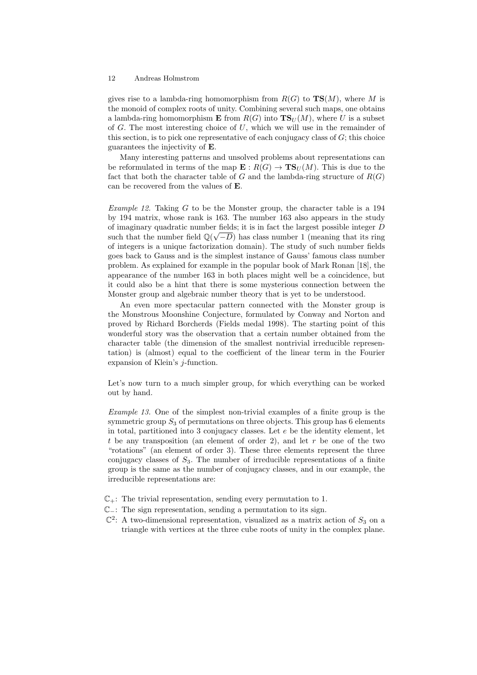gives rise to a lambda-ring homomorphism from  $R(G)$  to  $\mathbf{TS}(M)$ , where M is the monoid of complex roots of unity. Combining several such maps, one obtains a lambda-ring homomorphism **E** from  $R(G)$  into  $TS_U(M)$ , where U is a subset of G. The most interesting choice of  $U$ , which we will use in the remainder of this section, is to pick one representative of each conjugacy class of  $G$ ; this choice guarantees the injectivity of E.

Many interesting patterns and unsolved problems about representations can be reformulated in terms of the map  $\mathbf{E}: R(G) \to \mathbf{TS}_U(M)$ . This is due to the fact that both the character table of G and the lambda-ring structure of  $R(G)$ can be recovered from the values of E.

*Example 12.* Taking  $G$  to be the Monster group, the character table is a 194 by 194 matrix, whose rank is 163. The number 163 also appears in the study of imaginary quadratic number fields; it is in fact the largest possible integer  $D$ such that the number field  $\mathbb{Q}(\sqrt{-D})$  has class number 1 (meaning that its ring of integers is a unique factorization domain). The study of such number fields goes back to Gauss and is the simplest instance of Gauss' famous class number problem. As explained for example in the popular book of Mark Ronan [18], the appearance of the number 163 in both places might well be a coincidence, but it could also be a hint that there is some mysterious connection between the Monster group and algebraic number theory that is yet to be understood.

An even more spectacular pattern connected with the Monster group is the Monstrous Moonshine Conjecture, formulated by Conway and Norton and proved by Richard Borcherds (Fields medal 1998). The starting point of this wonderful story was the observation that a certain number obtained from the character table (the dimension of the smallest nontrivial irreducible representation) is (almost) equal to the coefficient of the linear term in the Fourier expansion of Klein's j-function.

Let's now turn to a much simpler group, for which everything can be worked out by hand.

Example 13. One of the simplest non-trivial examples of a finite group is the symmetric group  $S_3$  of permutations on three objects. This group has 6 elements in total, partitioned into 3 conjugacy classes. Let  $e$  be the identity element, let t be any transposition (an element of order 2), and let  $r$  be one of the two "rotations" (an element of order 3). These three elements represent the three conjugacy classes of  $S_3$ . The number of irreducible representations of a finite group is the same as the number of conjugacy classes, and in our example, the irreducible representations are:

- $\mathbb{C}_+$ : The trivial representation, sending every permutation to 1.
- C−: The sign representation, sending a permutation to its sign.
- $\mathbb{C}^2$ : A two-dimensional representation, visualized as a matrix action of  $S_3$  on a triangle with vertices at the three cube roots of unity in the complex plane.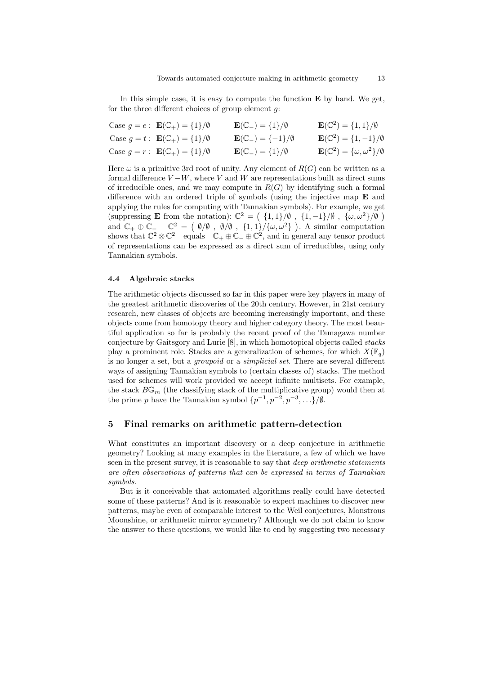In this simple case, it is easy to compute the function  $E$  by hand. We get, for the three different choices of group element  $g$ :

| Case $g = e : \mathbf{E}(\mathbb{C}_+) = \{1\}/\emptyset$ | $\mathbf{E}(\mathbb{C}_-) = \{1\}/\emptyset$  | ${\bf E}({\mathbb C}^2) = \{1,1\}/\emptyset$                    |
|-----------------------------------------------------------|-----------------------------------------------|-----------------------------------------------------------------|
| Case $g = t : \mathbf{E}(\mathbb{C}_+) = \{1\}/\emptyset$ | $\mathbf{E}(\mathbb{C}_-) = \{-1\}/\emptyset$ | ${\bf E}(\mathbb{C}^2) = \{1, -1\}/\emptyset$                   |
| Case $g = r : \mathbf{E}(\mathbb{C}_+) = \{1\}/\emptyset$ | $\mathbf{E}(\mathbb{C}_-) = \{1\}/\emptyset$  | $\mathbf{E}(\mathbb{C}^2) = {\{\omega, \omega^2\}}/{\emptyset}$ |

Here  $\omega$  is a primitive 3rd root of unity. Any element of  $R(G)$  can be written as a formal difference  $V - W$ , where V and W are representations built as direct sums of irreducible ones, and we may compute in  $R(G)$  by identifying such a formal difference with an ordered triple of symbols (using the injective map E and applying the rules for computing with Tannakian symbols). For example, we get (suppressing **E** from the notation):  $\mathbb{C}^2 = (1,1)/\emptyset$ ,  $\{1,-1\}/\emptyset$ ,  $\{\omega,\omega^2\}/\emptyset$ ) and  $\mathbb{C}_+ \oplus \mathbb{C}_- - \mathbb{C}^2 = ( \emptyset/\emptyset, \emptyset/\emptyset, \{1,1\}/\{\omega,\omega^2\} )$ . A similar computation shows that  $\mathbb{C}^2 \otimes \mathbb{C}^2$  equals  $\mathbb{C}_+ \oplus \mathbb{C}_- \oplus \mathbb{C}^2$ , and in general any tensor product of representations can be expressed as a direct sum of irreducibles, using only Tannakian symbols.

#### 4.4 Algebraic stacks

The arithmetic objects discussed so far in this paper were key players in many of the greatest arithmetic discoveries of the 20th century. However, in 21st century research, new classes of objects are becoming increasingly important, and these objects come from homotopy theory and higher category theory. The most beautiful application so far is probably the recent proof of the Tamagawa number conjecture by Gaitsgory and Lurie [8], in which homotopical objects called stacks play a prominent role. Stacks are a generalization of schemes, for which  $X(\mathbb{F}_q)$ is no longer a set, but a groupoid or a simplicial set. There are several different ways of assigning Tannakian symbols to (certain classes of) stacks. The method used for schemes will work provided we accept infinite multisets. For example, the stack  $B\mathbb{G}_m$  (the classifying stack of the multiplicative group) would then at the prime p have the Tannakian symbol  $\{p^{-1}, p^{-2}, p^{-3}, \ldots\}/\emptyset$ .

# 5 Final remarks on arithmetic pattern-detection

What constitutes an important discovery or a deep conjecture in arithmetic geometry? Looking at many examples in the literature, a few of which we have seen in the present survey, it is reasonable to say that *deep arithmetic statements* are often observations of patterns that can be expressed in terms of Tannakian symbols.

But is it conceivable that automated algorithms really could have detected some of these patterns? And is it reasonable to expect machines to discover new patterns, maybe even of comparable interest to the Weil conjectures, Monstrous Moonshine, or arithmetic mirror symmetry? Although we do not claim to know the answer to these questions, we would like to end by suggesting two necessary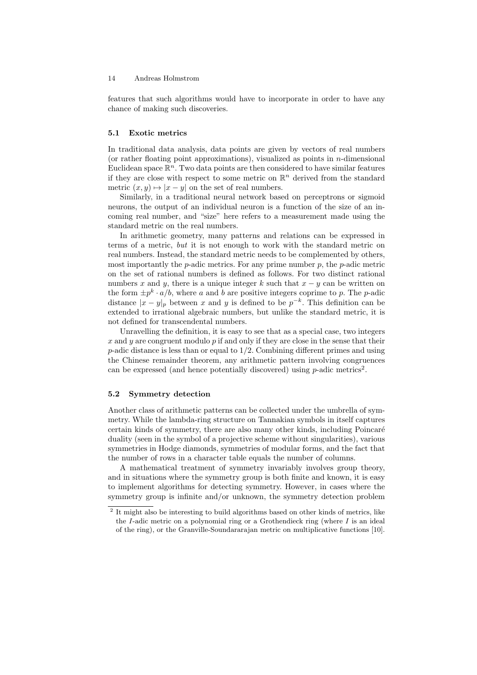features that such algorithms would have to incorporate in order to have any chance of making such discoveries.

### 5.1 Exotic metrics

In traditional data analysis, data points are given by vectors of real numbers (or rather floating point approximations), visualized as points in  $n$ -dimensional Euclidean space  $\mathbb{R}^n$ . Two data points are then considered to have similar features if they are close with respect to some metric on  $\mathbb{R}^n$  derived from the standard metric  $(x, y) \mapsto |x - y|$  on the set of real numbers.

Similarly, in a traditional neural network based on perceptrons or sigmoid neurons, the output of an individual neuron is a function of the size of an incoming real number, and "size" here refers to a measurement made using the standard metric on the real numbers.

In arithmetic geometry, many patterns and relations can be expressed in terms of a metric, but it is not enough to work with the standard metric on real numbers. Instead, the standard metric needs to be complemented by others, most importantly the  $p$ -adic metrics. For any prime number  $p$ , the  $p$ -adic metric on the set of rational numbers is defined as follows. For two distinct rational numbers x and y, there is a unique integer k such that  $x - y$  can be written on the form  $\pm p^k \cdot a/b$ , where a and b are positive integers coprime to p. The p-adic distance  $|x-y|_p$  between x and y is defined to be  $p^{-k}$ . This definition can be extended to irrational algebraic numbers, but unlike the standard metric, it is not defined for transcendental numbers.

Unravelling the definition, it is easy to see that as a special case, two integers x and y are congruent modulo  $p$  if and only if they are close in the sense that their  $p$ -adic distance is less than or equal to  $1/2$ . Combining different primes and using the Chinese remainder theorem, any arithmetic pattern involving congruences can be expressed (and hence potentially discovered) using  $p$ -adic metrics<sup>2</sup>.

### 5.2 Symmetry detection

Another class of arithmetic patterns can be collected under the umbrella of symmetry. While the lambda-ring structure on Tannakian symbols in itself captures certain kinds of symmetry, there are also many other kinds, including Poincaré duality (seen in the symbol of a projective scheme without singularities), various symmetries in Hodge diamonds, symmetries of modular forms, and the fact that the number of rows in a character table equals the number of columns.

A mathematical treatment of symmetry invariably involves group theory, and in situations where the symmetry group is both finite and known, it is easy to implement algorithms for detecting symmetry. However, in cases where the symmetry group is infinite and/or unknown, the symmetry detection problem

<sup>&</sup>lt;sup>2</sup> It might also be interesting to build algorithms based on other kinds of metrics, like the I-adic metric on a polynomial ring or a Grothendieck ring (where  $I$  is an ideal of the ring), or the Granville-Soundararajan metric on multiplicative functions [10].